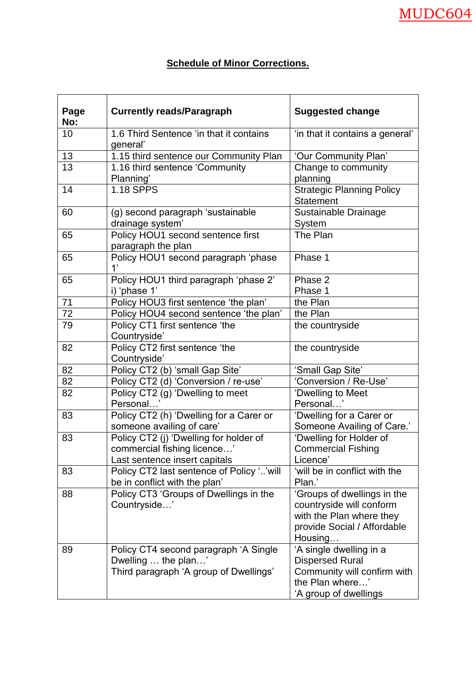## **Schedule of Minor Corrections.**

| Page<br>No: | <b>Currently reads/Paragraph</b>                                                                       | <b>Suggested change</b>                                                                                                       |
|-------------|--------------------------------------------------------------------------------------------------------|-------------------------------------------------------------------------------------------------------------------------------|
| 10          | 1.6 Third Sentence 'in that it contains<br>general'                                                    | 'in that it contains a general'                                                                                               |
| 13          | 1.15 third sentence our Community Plan                                                                 | 'Our Community Plan'                                                                                                          |
| 13          | 1.16 third sentence 'Community<br>Planning'                                                            | Change to community<br>planning                                                                                               |
| 14          | <b>1.18 SPPS</b>                                                                                       | <b>Strategic Planning Policy</b><br><b>Statement</b>                                                                          |
| 60          | (g) second paragraph 'sustainable<br>drainage system'                                                  | Sustainable Drainage<br><b>System</b>                                                                                         |
| 65          | Policy HOU1 second sentence first<br>paragraph the plan                                                | The Plan                                                                                                                      |
| 65          | Policy HOU1 second paragraph 'phase<br>1'                                                              | Phase 1                                                                                                                       |
| 65          | Policy HOU1 third paragraph 'phase 2'<br>i) 'phase 1'                                                  | Phase 2<br>Phase 1                                                                                                            |
| 71          | Policy HOU3 first sentence 'the plan'                                                                  | the Plan                                                                                                                      |
| 72          | Policy HOU4 second sentence 'the plan'                                                                 | the Plan                                                                                                                      |
| 79          | Policy CT1 first sentence 'the<br>Countryside'                                                         | the countryside                                                                                                               |
| 82          | Policy CT2 first sentence 'the<br>Countryside'                                                         | the countryside                                                                                                               |
| 82          | Policy CT2 (b) 'small Gap Site'                                                                        | 'Small Gap Site'                                                                                                              |
| 82          | Policy CT2 (d) 'Conversion / re-use'                                                                   | 'Conversion / Re-Use'                                                                                                         |
| 82          | Policy CT2 (g) 'Dwelling to meet<br>Personal'                                                          | 'Dwelling to Meet<br>Personal'                                                                                                |
| 83          | Policy CT2 (h) 'Dwelling for a Carer or<br>someone availing of care'                                   | 'Dwelling for a Carer or<br>Someone Availing of Care.'                                                                        |
| 83          | Policy CT2 (j) 'Dwelling for holder of<br>commercial fishing licence'<br>Last sentence insert capitals | 'Dwelling for Holder of<br><b>Commercial Fishing</b><br>Licence'                                                              |
| 83          | Policy CT2 last sentence of Policy ''will<br>be in conflict with the plan'                             | 'will be in conflict with the<br>Plan.'                                                                                       |
| 88          | Policy CT3 'Groups of Dwellings in the<br>Countryside'                                                 | 'Groups of dwellings in the<br>countryside will conform<br>with the Plan where they<br>provide Social / Affordable<br>Housing |
| 89          | Policy CT4 second paragraph 'A Single<br>Dwelling  the plan'<br>Third paragraph 'A group of Dwellings' | 'A single dwelling in a<br><b>Dispersed Rural</b><br>Community will confirm with<br>the Plan where'<br>'A group of dwellings  |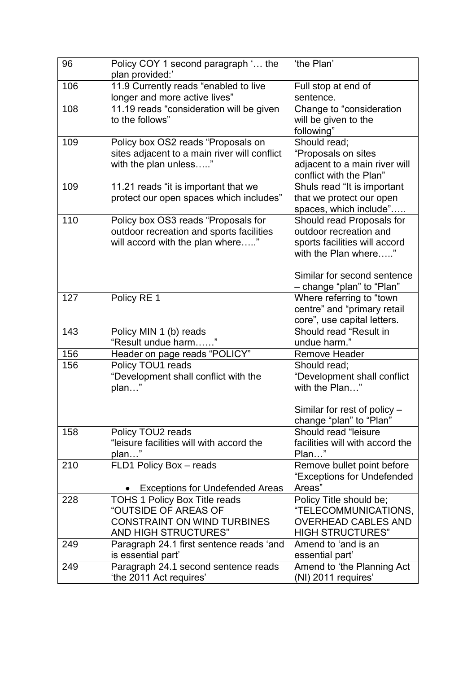| 96  | Policy COY 1 second paragraph ' the<br>plan provided:' | 'the Plan'                      |
|-----|--------------------------------------------------------|---------------------------------|
| 106 | 11.9 Currently reads "enabled to live                  | Full stop at end of             |
|     | longer and more active lives"                          | sentence.                       |
| 108 | 11.19 reads "consideration will be given               | Change to "consideration        |
|     | to the follows"                                        | will be given to the            |
|     |                                                        | following"                      |
| 109 | Policy box OS2 reads "Proposals on                     | Should read;                    |
|     | sites adjacent to a main river will conflict           | "Proposals on sites             |
|     | with the plan unless"                                  | adjacent to a main river will   |
|     |                                                        | conflict with the Plan"         |
| 109 | 11.21 reads "it is important that we                   | Shuls read "It is important     |
|     | protect our open spaces which includes"                | that we protect our open        |
|     |                                                        | spaces, which include"          |
| 110 | Policy box OS3 reads "Proposals for                    | Should read Proposals for       |
|     | outdoor recreation and sports facilities               | outdoor recreation and          |
|     | will accord with the plan where"                       | sports facilities will accord   |
|     |                                                        | with the Plan where"            |
|     |                                                        | Similar for second sentence     |
|     |                                                        | - change "plan" to "Plan"       |
| 127 | Policy RE 1                                            | Where referring to "town        |
|     |                                                        | centre" and "primary retail     |
|     |                                                        | core", use capital letters.     |
| 143 | Policy MIN 1 (b) reads                                 | Should read "Result in          |
|     | "Result undue harm"                                    | undue harm."                    |
| 156 | Header on page reads "POLICY"                          | <b>Remove Header</b>            |
| 156 | Policy TOU1 reads                                      | Should read;                    |
|     | "Development shall conflict with the                   | "Development shall conflict     |
|     | plan"                                                  | with the Plan"                  |
|     |                                                        | Similar for rest of policy $-$  |
|     |                                                        | change "plan" to "Plan"         |
| 158 | Policy TOU2 reads                                      | Should read "leisure            |
|     | "leisure facilities will with accord the               | facilities will with accord the |
|     | plan"                                                  | Plan"                           |
| 210 | FLD1 Policy Box - reads                                | Remove bullet point before      |
|     |                                                        | "Exceptions for Undefended      |
|     | <b>Exceptions for Undefended Areas</b>                 | Areas"                          |
| 228 | TOHS 1 Policy Box Title reads                          | Policy Title should be;         |
|     | "OUTSIDE OF AREAS OF                                   | "TELECOMMUNICATIONS,            |
|     | <b>CONSTRAINT ON WIND TURBINES</b>                     | <b>OVERHEAD CABLES AND</b>      |
|     | <b>AND HIGH STRUCTURES"</b>                            | <b>HIGH STRUCTURES"</b>         |
| 249 | Paragraph 24.1 first sentence reads 'and               | Amend to 'and is an             |
|     | is essential part'                                     | essential part'                 |
| 249 | Paragraph 24.1 second sentence reads                   | Amend to 'the Planning Act      |
|     | 'the 2011 Act requires'                                | (NI) 2011 requires'             |